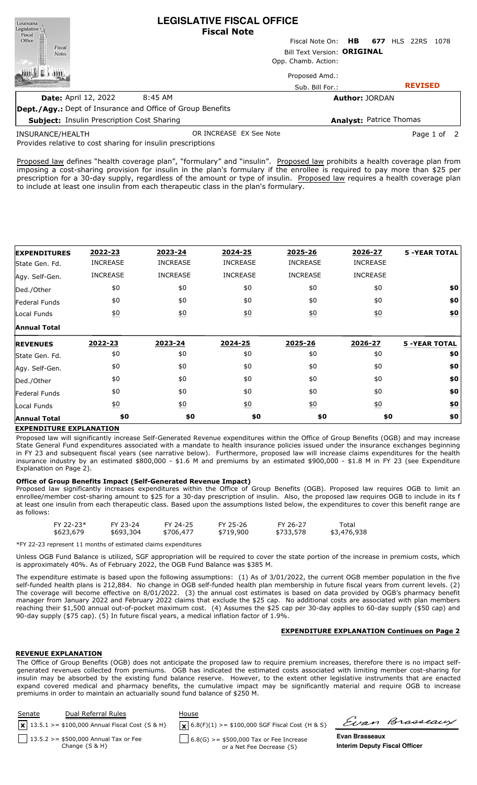| Louisiana                                                                                                    |                                                   | LEGISLATIVE FISCAL OFFICE                                         |                             |                                |                     |      |
|--------------------------------------------------------------------------------------------------------------|---------------------------------------------------|-------------------------------------------------------------------|-----------------------------|--------------------------------|---------------------|------|
| $\begin{tabular}{c} \bf \textit{Legislative} \\ \bf \textit{Fiscal} \\ \bf \textit{Office} \\ \end{tabular}$ |                                                   | <b>Fiscal Note</b>                                                |                             |                                |                     |      |
|                                                                                                              |                                                   |                                                                   | Fiscal Note On: <b>HB</b>   |                                | <b>677 HLS 22RS</b> | 1078 |
| Fiscal<br><b>Notes</b>                                                                                       |                                                   |                                                                   | Bill Text Version: ORIGINAL |                                |                     |      |
|                                                                                                              |                                                   |                                                                   | Opp. Chamb. Action:         |                                |                     |      |
|                                                                                                              |                                                   |                                                                   | Proposed Amd.:              |                                |                     |      |
|                                                                                                              |                                                   |                                                                   | Sub. Bill For.:             |                                | <b>REVISED</b>      |      |
|                                                                                                              | <b>Date: April 12, 2022</b>                       | 8:45 AM                                                           |                             | <b>Author: JORDAN</b>          |                     |      |
|                                                                                                              |                                                   | <b>Dept./Agy.:</b> Dept of Insurance and Office of Group Benefits |                             |                                |                     |      |
|                                                                                                              | <b>Subject: Insulin Prescription Cost Sharing</b> |                                                                   |                             | <b>Analyst: Patrice Thomas</b> |                     |      |
|                                                                                                              |                                                   |                                                                   |                             |                                |                     |      |

**LEGISLATIVE FISCAL OFFICE**

INSURANCE/HEALTH

OR INCREASE EX See Note **Page 1 of 2** 

Provides relative to cost sharing for insulin prescriptions

Proposed law defines "health coverage plan", "formulary" and "insulin". Proposed law prohibits a health coverage plan from imposing a cost-sharing provision for insulin in the plan's formulary if the enrollee is required to pay more than \$25 per prescription for a 30-day supply, regardless of the amount or type of insulin. Proposed law requires a health coverage plan to include at least one insulin from each therapeutic class in the plan's formulary.

| <b>EXPENDITURES</b> | 2022-23          | 2023-24          | 2024-25          | 2025-26          | 2026-27         | <b>5 -YEAR TOTAL</b> |
|---------------------|------------------|------------------|------------------|------------------|-----------------|----------------------|
| State Gen. Fd.      | <b>INCREASE</b>  | <b>INCREASE</b>  | <b>INCREASE</b>  | <b>INCREASE</b>  | <b>INCREASE</b> |                      |
| Agy. Self-Gen.      | <b>INCREASE</b>  | <b>INCREASE</b>  | <b>INCREASE</b>  | <b>INCREASE</b>  | <b>INCREASE</b> |                      |
| Ded./Other          | \$0              | \$0              | \$0              | \$0              | \$0             | \$0                  |
| Federal Funds       | \$0              | \$0              | \$0              | \$0              | \$0             | \$0                  |
| Local Funds         | \$0              | 60               | $\underline{40}$ | 60               | <u>\$0</u>      | \$0                  |
| <b>Annual Total</b> |                  |                  |                  |                  |                 |                      |
| <b>REVENUES</b>     | 2022-23          | 2023-24          | 2024-25          | 2025-26          | 2026-27         | <b>5 -YEAR TOTAL</b> |
| State Gen. Fd.      | \$0              | \$0              | \$0              | \$0              | \$0             | \$0                  |
| Agy. Self-Gen.      | \$0              | \$0              | \$0              | \$0              | \$0             | \$0                  |
| Ded./Other          | \$0              | \$0              | \$0              | \$0              | \$0             | \$0                  |
| Federal Funds       |                  |                  |                  |                  |                 |                      |
|                     | \$0              | \$0              | \$0              | \$0              | \$0             | \$0                  |
| Local Funds         | $\underline{50}$ | $\underline{50}$ | $\underline{50}$ | $\underline{50}$ | 60              | $\underline{\$0}$    |

# **EXPENDITURE EXPLANATION**

Proposed law will significantly increase Self-Generated Revenue expenditures within the Office of Group Benefits (OGB) and may increase State General Fund expenditures associated with a mandate to health insurance policies issued under the insurance exchanges beginning in FY 23 and subsequent fiscal years (see narrative below). Furthermore, proposed law will increase claims expenditures for the health insurance industry by an estimated \$800,000 - \$1.6 M and premiums by an estimated \$900,000 - \$1.8 M in FY 23 (see Expenditure Explanation on Page 2).

#### **Office of Group Benefits Impact (Self-Generated Revenue Impact)**

Proposed law significantly increases expenditures within the Office of Group Benefits (OGB). Proposed law requires OGB to limit an enrollee/member cost-sharing amount to \$25 for a 30-day prescription of insulin. Also, the proposed law requires OGB to include in its f at least one insulin from each therapeutic class. Based upon the assumptions listed below, the expenditures to cover this benefit range are as follows:

| $FY$ 22-23* | FY 23-24  | FY 24-25  | FY 25-26  | FY 26-27  | Total       |
|-------------|-----------|-----------|-----------|-----------|-------------|
| \$623,679   | \$693,304 | \$706,477 | \$719,900 | \$733,578 | \$3,476,938 |
|             |           |           |           |           |             |

\*FY 22-23 represent 11 months of estimated claims expenditures

Unless OGB Fund Balance is utilized, SGF appropriation will be required to cover the state portion of the increase in premium costs, which is approximately 40%. As of February 2022, the OGB Fund Balance was \$385 M.

The expenditure estimate is based upon the following assumptions: (1) As of 3/01/2022, the current OGB member population in the five self-funded health plans is 212,884. No change in OGB self-funded health plan membership in future fiscal years from current levels. (2) The coverage will become effective on 8/01/2022. (3) the annual cost estimates is based on data provided by OGB's pharmacy benefit manager from January 2022 and February 2022 claims that exclude the \$25 cap. No additional costs are associated with plan members reaching their \$1,500 annual out-of-pocket maximum cost. (4) Assumes the \$25 cap per 30-day applies to 60-day supply (\$50 cap) and 90-day supply (\$75 cap). (5) In future fiscal years, a medical inflation factor of 1.9%.

#### **EXPENDITURE EXPLANATION Continues on Page 2**

# **REVENUE EXPLANATION**

The Office of Group Benefits (OGB) does not anticipate the proposed law to require premium increases, therefore there is no impact selfgenerated revenues collected from premiums. OGB has indicated the estimated costs associated with limiting member cost-sharing for insulin may be absorbed by the existing fund balance reserve. However, to the extent other legislative instruments that are enacted expand covered medical and pharmacy benefits, the cumulative impact may be significantly material and require OGB to increase premiums in order to maintain an actuarially sound fund balance of \$250 M.

| Senate | Dual Referral Rules                                           | House                                                                  |                                                               | Evan Brasseaux |
|--------|---------------------------------------------------------------|------------------------------------------------------------------------|---------------------------------------------------------------|----------------|
|        | $\mathbf{x}$ 13.5.1 > = \$100,000 Annual Fiscal Cost {S & H}  | $\mathbf{X}$ 6.8(F)(1) >= \$100,000 SGF Fiscal Cost {H & S}            |                                                               |                |
|        | 13.5.2 > = \$500,000 Annual Tax or Fee<br>Change $\{S \& H\}$ | $6.8(G)$ >= \$500,000 Tax or Fee Increase<br>or a Net Fee Decrease {S} | <b>Evan Brasseaux</b><br><b>Interim Deputy Fiscal Officer</b> |                |